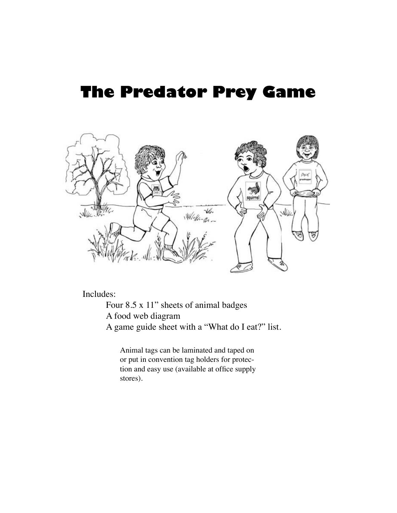## **The Predator Prey Game**



Includes:

Four 8.5 x 11" sheets of animal badges A food web diagram A game guide sheet with a "What do I eat?" list.

Animal tags can be laminated and taped on or put in convention tag holders for protection and easy use (available at office supply stores).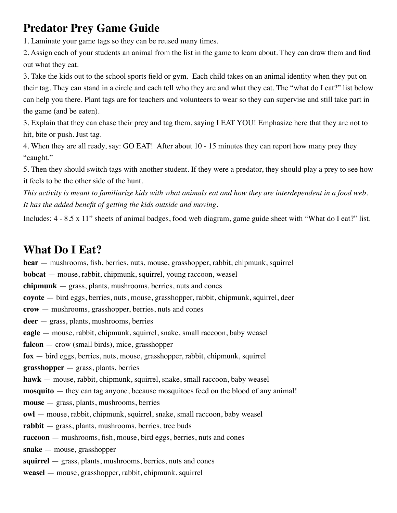## **Predator Prey Game Guide**

1. Laminate your game tags so they can be reused many times.

2. Assign each of your students an animal from the list in the game to learn about. They can draw them and find out what they eat.

3. Take the kids out to the school sports field or gym. Each child takes on an animal identity when they put on their tag. They can stand in a circle and each tell who they are and what they eat. The "what do I eat?" list below can help you there. Plant tags are for teachers and volunteers to wear so they can supervise and still take part in the game (and be eaten).

3. Explain that they can chase their prey and tag them, saying I EAT YOU! Emphasize here that they are not to hit, bite or push. Just tag.

4. When they are all ready, say: GO EAT! After about 10 - 15 minutes they can report how many prey they "caught."

5. Then they should switch tags with another student. If they were a predator, they should play a prey to see how it feels to be the other side of the hunt.

*This activity is meant to familiarize kids with what animals eat and how they are interdependent in a food web. It has the added benefit of getting the kids outside and moving.*

Includes: 4 - 8.5 x 11" sheets of animal badges, food web diagram, game guide sheet with "What do I eat?" list.

## **What Do I Eat?**

**bear** — mushrooms, fish, berries, nuts, mouse, grasshopper, rabbit, chipmunk, squirrel **bobcat** — mouse, rabbit, chipmunk, squirrel, young raccoon, weasel **chipmunk** — grass, plants, mushrooms, berries, nuts and cones **coyote** — bird eggs, berries, nuts, mouse, grasshopper, rabbit, chipmunk, squirrel, deer **crow** — mushrooms, grasshopper, berries, nuts and cones **deer** — grass, plants, mushrooms, berries **eagle** — mouse, rabbit, chipmunk, squirrel, snake, small raccoon, baby weasel **falcon** — crow (small birds), mice, grasshopper **fox** — bird eggs, berries, nuts, mouse, grasshopper, rabbit, chipmunk, squirrel **grasshopper** — grass, plants, berries **hawk** — mouse, rabbit, chipmunk, squirrel, snake, small raccoon, baby weasel **mosquito** — they can tag anyone, because mosquitoes feed on the blood of any animal! **mouse** — grass, plants, mushrooms, berries **owl** — mouse, rabbit, chipmunk, squirrel, snake, small raccoon, baby weasel **rabbit** — grass, plants, mushrooms, berries, tree buds **raccoon** — mushrooms, fish, mouse, bird eggs, berries, nuts and cones **snake** — mouse, grasshopper **squirrel** — grass, plants, mushrooms, berries, nuts and cones **weasel** — mouse, grasshopper, rabbit, chipmunk. squirrel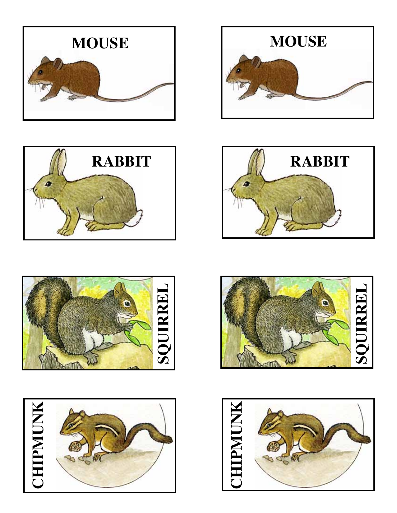













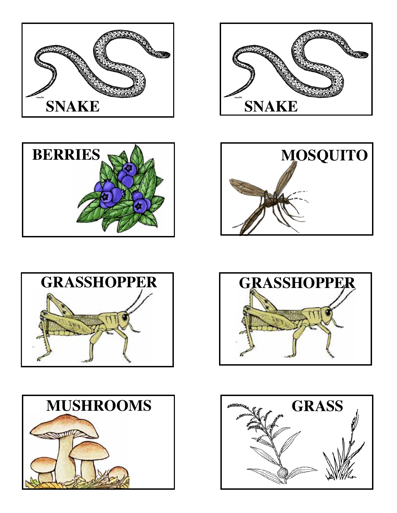













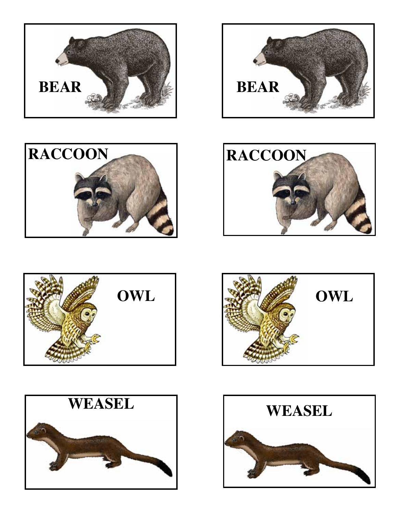













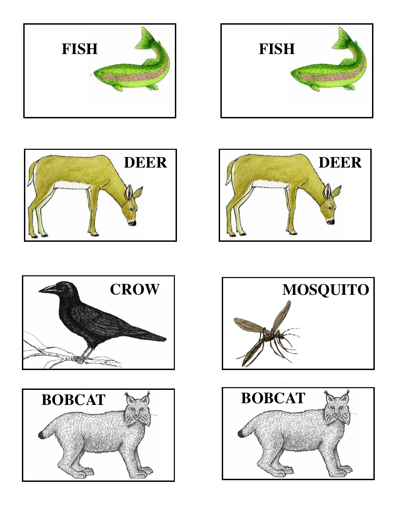